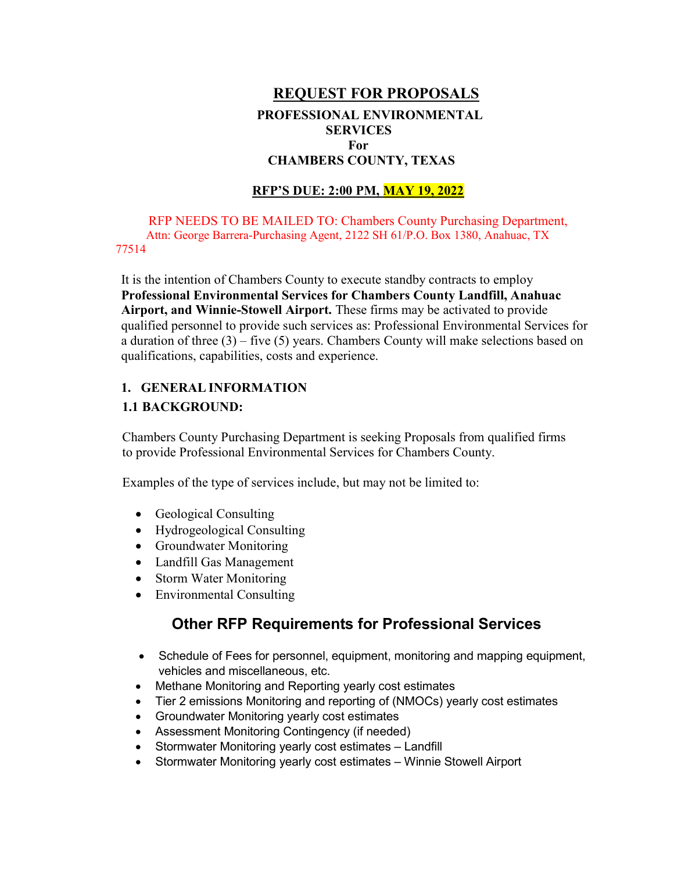# REQUEST FOR PROPOSALS PROFESSIONAL ENVIRONMENTAL **SERVICES** For CHAMBERS COUNTY, TEXAS

### RFP'S DUE: 2:00 PM, MAY 19, 2022

RFP NEEDS TO BE MAILED TO: Chambers County Purchasing Department, Attn: George Barrera-Purchasing Agent, 2122 SH 61/P.O. Box 1380, Anahuac, TX 77514

It is the intention of Chambers County to execute standby contracts to employ Professional Environmental Services for Chambers County Landfill, Anahuac Airport, and Winnie-Stowell Airport. These firms may be activated to provide qualified personnel to provide such services as: Professional Environmental Services for a duration of three (3) – five (5) years. Chambers County will make selections based on qualifications, capabilities, costs and experience.

#### 1. GENERAL INFORMATION

#### 1.1 BACKGROUND:

Chambers County Purchasing Department is seeking Proposals from qualified firms to provide Professional Environmental Services for Chambers County.

Examples of the type of services include, but may not be limited to:

- Geological Consulting
- Hydrogeological Consulting
- Groundwater Monitoring
- Landfill Gas Management
- Storm Water Monitoring
- Environmental Consulting

# Other RFP Requirements for Professional Services

- Schedule of Fees for personnel, equipment, monitoring and mapping equipment, vehicles and miscellaneous, etc.
- Methane Monitoring and Reporting yearly cost estimates
- Tier 2 emissions Monitoring and reporting of (NMOCs) yearly cost estimates
- Groundwater Monitoring yearly cost estimates
- Assessment Monitoring Contingency (if needed)
- Stormwater Monitoring yearly cost estimates Landfill
- Stormwater Monitoring yearly cost estimates Winnie Stowell Airport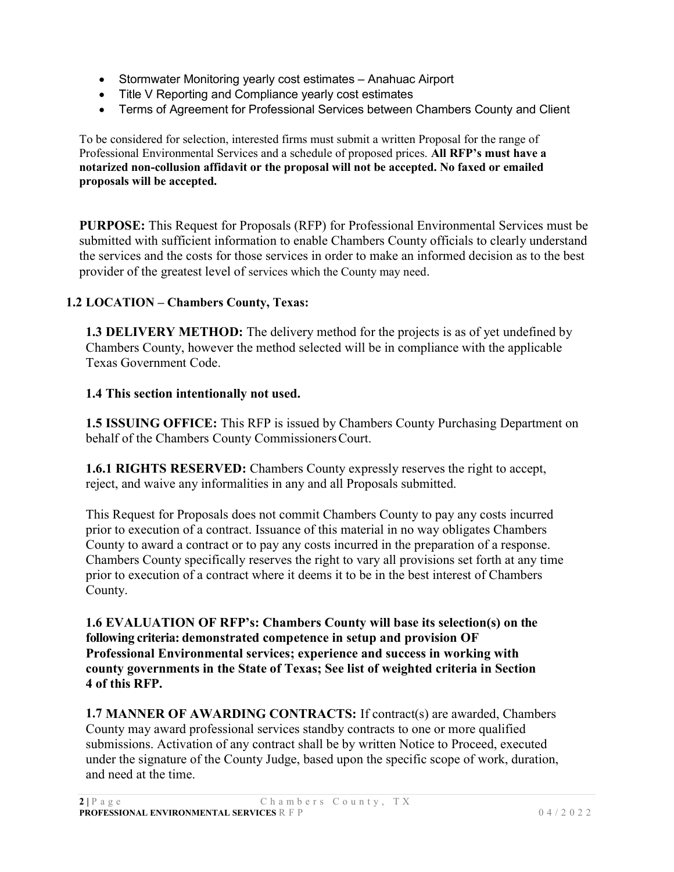- Stormwater Monitoring yearly cost estimates Anahuac Airport
- Title V Reporting and Compliance yearly cost estimates
- Terms of Agreement for Professional Services between Chambers County and Client

To be considered for selection, interested firms must submit a written Proposal for the range of Professional Environmental Services and a schedule of proposed prices. All RFP's must have a notarized non-collusion affidavit or the proposal will not be accepted. No faxed or emailed proposals will be accepted.

PURPOSE: This Request for Proposals (RFP) for Professional Environmental Services must be submitted with sufficient information to enable Chambers County officials to clearly understand the services and the costs for those services in order to make an informed decision as to the best provider of the greatest level of services which the County may need.

## 1.2 LOCATION – Chambers County, Texas:

**1.3 DELIVERY METHOD:** The delivery method for the projects is as of yet undefined by Chambers County, however the method selected will be in compliance with the applicable Texas Government Code.

### 1.4 This section intentionally not used.

1.5 ISSUING OFFICE: This RFP is issued by Chambers County Purchasing Department on behalf of the Chambers County Commissioners Court.

1.6.1 RIGHTS RESERVED: Chambers County expressly reserves the right to accept, reject, and waive any informalities in any and all Proposals submitted.

This Request for Proposals does not commit Chambers County to pay any costs incurred prior to execution of a contract. Issuance of this material in no way obligates Chambers County to award a contract or to pay any costs incurred in the preparation of a response. Chambers County specifically reserves the right to vary all provisions set forth at any time prior to execution of a contract where it deems it to be in the best interest of Chambers County.

1.6 EVALUATION OF RFP's: Chambers County will base its selection(s) on the following criteria: demonstrated competence in setup and provision OF Professional Environmental services; experience and success in working with county governments in the State of Texas; See list of weighted criteria in Section 4 of this RFP.

1.7 MANNER OF AWARDING CONTRACTS: If contract(s) are awarded, Chambers County may award professional services standby contracts to one or more qualified submissions. Activation of any contract shall be by written Notice to Proceed, executed under the signature of the County Judge, based upon the specific scope of work, duration, and need at the time.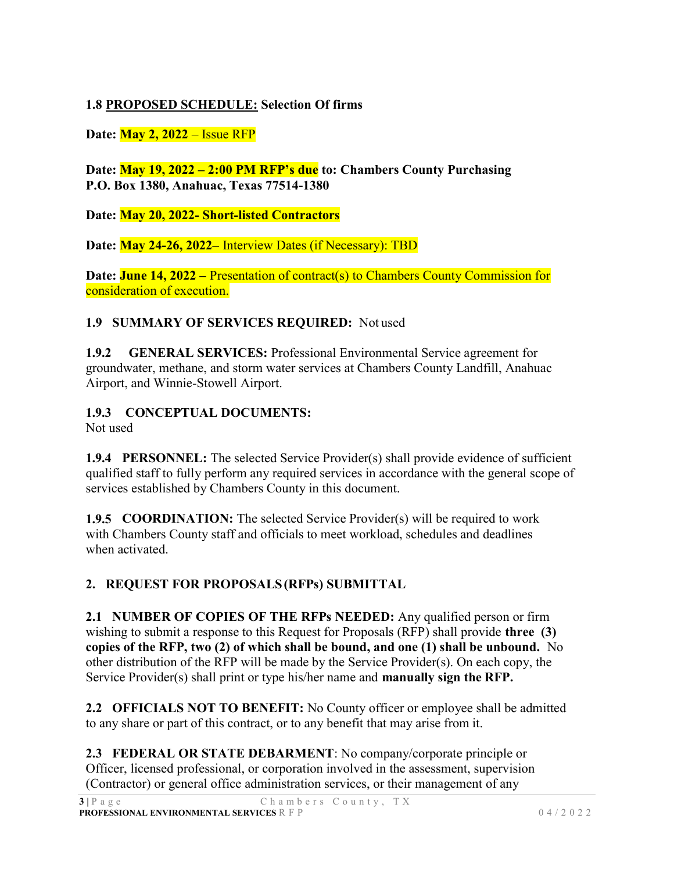# 1.8 PROPOSED SCHEDULE: Selection Of firms

Date: May 2, 2022 – Issue RFP

Date: May 19, 2022 – 2:00 PM RFP's due to: Chambers County Purchasing P.O. Box 1380, Anahuac, Texas 77514-1380

Date: May 20, 2022- Short-listed Contractors

Date: May 24-26, 2022– Interview Dates (if Necessary): TBD

Date: **June 14, 2022** – Presentation of contract(s) to Chambers County Commission for consideration of execution.

## 1.9 SUMMARY OF SERVICES REQUIRED: Not used

1.9.2 GENERAL SERVICES: Professional Environmental Service agreement for groundwater, methane, and storm water services at Chambers County Landfill, Anahuac Airport, and Winnie-Stowell Airport.

1.9.3 CONCEPTUAL DOCUMENTS:

Not used

1.9.4 PERSONNEL: The selected Service Provider(s) shall provide evidence of sufficient qualified staff to fully perform any required services in accordance with the general scope of services established by Chambers County in this document.

1.9.5 COORDINATION: The selected Service Provider(s) will be required to work with Chambers County staff and officials to meet workload, schedules and deadlines when activated.

# 2. REQUEST FOR PROPOSALS (RFPs) SUBMITTAL

2.1 NUMBER OF COPIES OF THE RFPs NEEDED: Any qualified person or firm wishing to submit a response to this Request for Proposals (RFP) shall provide **three** (3) copies of the RFP, two (2) of which shall be bound, and one (1) shall be unbound. No other distribution of the RFP will be made by the Service Provider(s). On each copy, the Service Provider(s) shall print or type his/her name and manually sign the RFP.

2.2 OFFICIALS NOT TO BENEFIT: No County officer or employee shall be admitted to any share or part of this contract, or to any benefit that may arise from it.

2.3 FEDERAL OR STATE DEBARMENT: No company/corporate principle or Officer, licensed professional, or corporation involved in the assessment, supervision (Contractor) or general office administration services, or their management of any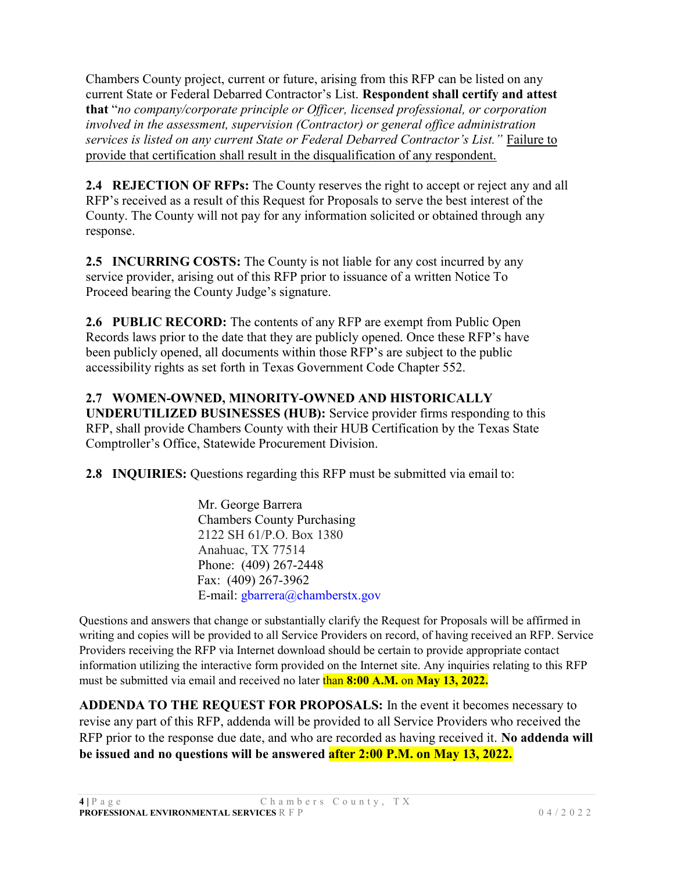Chambers County project, current or future, arising from this RFP can be listed on any current State or Federal Debarred Contractor's List. Respondent shall certify and attest that "no company/corporate principle or Officer, licensed professional, or corporation involved in the assessment, supervision (Contractor) or general office administration services is listed on any current State or Federal Debarred Contractor's List." Failure to provide that certification shall result in the disqualification of any respondent.

2.4 REJECTION OF RFPs: The County reserves the right to accept or reject any and all RFP's received as a result of this Request for Proposals to serve the best interest of the County. The County will not pay for any information solicited or obtained through any response.

2.5 INCURRING COSTS: The County is not liable for any cost incurred by any service provider, arising out of this RFP prior to issuance of a written Notice To Proceed bearing the County Judge's signature.

2.6 PUBLIC RECORD: The contents of any RFP are exempt from Public Open Records laws prior to the date that they are publicly opened. Once these RFP's have been publicly opened, all documents within those RFP's are subject to the public accessibility rights as set forth in Texas Government Code Chapter 552.

# 2.7 WOMEN-OWNED, MINORITY-OWNED AND HISTORICALLY

UNDERUTILIZED BUSINESSES (HUB): Service provider firms responding to this RFP, shall provide Chambers County with their HUB Certification by the Texas State Comptroller's Office, Statewide Procurement Division.

2.8 INQUIRIES: Questions regarding this RFP must be submitted via email to:

Mr. George Barrera Chambers County Purchasing 2122 SH 61/P.O. Box 1380 Anahuac, TX 77514 Phone: (409) 267-2448 Fax: (409) 267-3962 E-mail: gbarrera@chamberstx.gov

Questions and answers that change or substantially clarify the Request for Proposals will be affirmed in writing and copies will be provided to all Service Providers on record, of having received an RFP. Service Providers receiving the RFP via Internet download should be certain to provide appropriate contact information utilizing the interactive form provided on the Internet site. Any inquiries relating to this RFP must be submitted via email and received no later than 8:00 A.M. on May 13, 2022.

ADDENDA TO THE REQUEST FOR PROPOSALS: In the event it becomes necessary to revise any part of this RFP, addenda will be provided to all Service Providers who received the RFP prior to the response due date, and who are recorded as having received it. No addenda will be issued and no questions will be answered after 2:00 P.M. on May 13, 2022.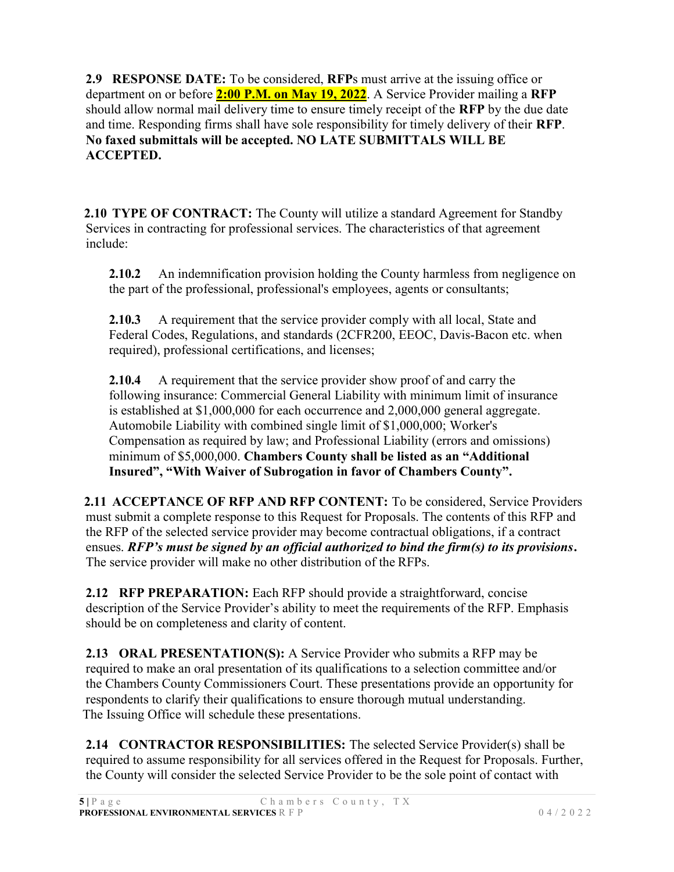2.9 RESPONSE DATE: To be considered, RFPs must arrive at the issuing office or department on or before  $2:00$  P.M. on May 19, 2022. A Service Provider mailing a RFP should allow normal mail delivery time to ensure timely receipt of the RFP by the due date and time. Responding firms shall have sole responsibility for timely delivery of their RFP. No faxed submittals will be accepted. NO LATE SUBMITTALS WILL BE ACCEPTED.

2.10 TYPE OF CONTRACT: The County will utilize a standard Agreement for Standby Services in contracting for professional services. The characteristics of that agreement include:

2.10.2 An indemnification provision holding the County harmless from negligence on the part of the professional, professional's employees, agents or consultants;

2.10.3 A requirement that the service provider comply with all local, State and Federal Codes, Regulations, and standards (2CFR200, EEOC, Davis-Bacon etc. when required), professional certifications, and licenses;

2.10.4 A requirement that the service provider show proof of and carry the following insurance: Commercial General Liability with minimum limit of insurance is established at \$1,000,000 for each occurrence and 2,000,000 general aggregate. Automobile Liability with combined single limit of \$1,000,000; Worker's Compensation as required by law; and Professional Liability (errors and omissions) minimum of \$5,000,000. Chambers County shall be listed as an "Additional Insured", "With Waiver of Subrogation in favor of Chambers County".

2.11 ACCEPTANCE OF RFP AND RFP CONTENT: To be considered, Service Providers must submit a complete response to this Request for Proposals. The contents of this RFP and the RFP of the selected service provider may become contractual obligations, if a contract ensues. RFP's must be signed by an official authorized to bind the firm(s) to its provisions. The service provider will make no other distribution of the RFPs.

2.12 RFP PREPARATION: Each RFP should provide a straightforward, concise description of the Service Provider's ability to meet the requirements of the RFP. Emphasis should be on completeness and clarity of content.

2.13 ORAL PRESENTATION(S): A Service Provider who submits a RFP may be required to make an oral presentation of its qualifications to a selection committee and/or the Chambers County Commissioners Court. These presentations provide an opportunity for respondents to clarify their qualifications to ensure thorough mutual understanding. The Issuing Office will schedule these presentations.

2.14 CONTRACTOR RESPONSIBILITIES: The selected Service Provider(s) shall be required to assume responsibility for all services offered in the Request for Proposals. Further, the County will consider the selected Service Provider to be the sole point of contact with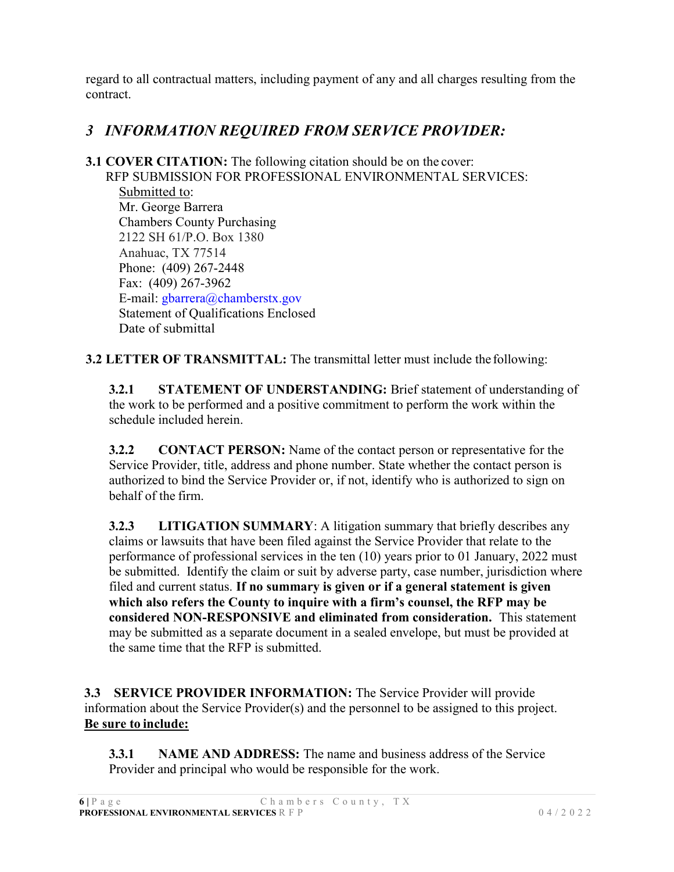regard to all contractual matters, including payment of any and all charges resulting from the contract.

# 3 INFORMATION REQUIRED FROM SERVICE PROVIDER:

3.1 COVER CITATION: The following citation should be on the cover: RFP SUBMISSION FOR PROFESSIONAL ENVIRONMENTAL SERVICES: Submitted to: Mr. George Barrera Chambers County Purchasing 2122 SH 61/P.O. Box 1380 Anahuac, TX 77514 Phone: (409) 267-2448 Fax: (409) 267-3962 E-mail: gbarrera@chamberstx.gov Statement of Qualifications Enclosed Date of submittal

3.2 LETTER OF TRANSMITTAL: The transmittal letter must include the following:

3.2.1 STATEMENT OF UNDERSTANDING: Brief statement of understanding of the work to be performed and a positive commitment to perform the work within the schedule included herein.

3.2.2 CONTACT PERSON: Name of the contact person or representative for the Service Provider, title, address and phone number. State whether the contact person is authorized to bind the Service Provider or, if not, identify who is authorized to sign on behalf of the firm.

3.2.3 LITIGATION SUMMARY: A litigation summary that briefly describes any claims or lawsuits that have been filed against the Service Provider that relate to the performance of professional services in the ten (10) years prior to 01 January, 2022 must be submitted. Identify the claim or suit by adverse party, case number, jurisdiction where filed and current status. If no summary is given or if a general statement is given which also refers the County to inquire with a firm's counsel, the RFP may be considered NON-RESPONSIVE and eliminated from consideration. This statement may be submitted as a separate document in a sealed envelope, but must be provided at the same time that the RFP is submitted.

3.3 SERVICE PROVIDER INFORMATION: The Service Provider will provide information about the Service Provider(s) and the personnel to be assigned to this project. Be sure to include:

3.3.1 NAME AND ADDRESS: The name and business address of the Service Provider and principal who would be responsible for the work.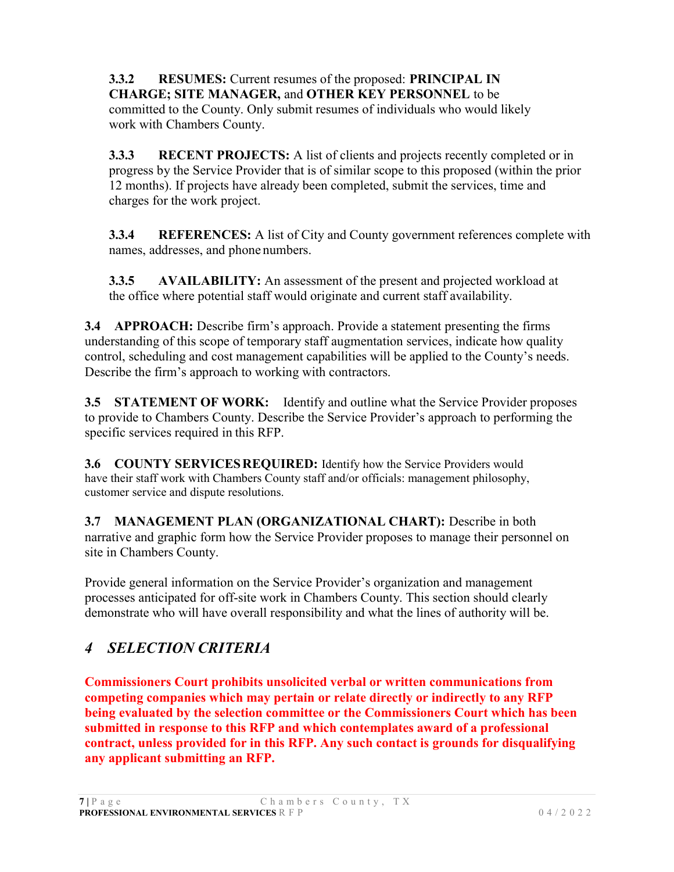3.3.2 RESUMES: Current resumes of the proposed: PRINCIPAL IN CHARGE; SITE MANAGER, and OTHER KEY PERSONNEL to be committed to the County. Only submit resumes of individuals who would likely work with Chambers County.

3.3.3 RECENT PROJECTS: A list of clients and projects recently completed or in progress by the Service Provider that is of similar scope to this proposed (within the prior 12 months). If projects have already been completed, submit the services, time and charges for the work project.

**3.3.4 REFERENCES:** A list of City and County government references complete with names, addresses, and phone numbers.

**3.3.5** AVAILABILITY: An assessment of the present and projected workload at the office where potential staff would originate and current staff availability.

3.4 APPROACH: Describe firm's approach. Provide a statement presenting the firms understanding of this scope of temporary staff augmentation services, indicate how quality control, scheduling and cost management capabilities will be applied to the County's needs. Describe the firm's approach to working with contractors.

**3.5 STATEMENT OF WORK:** Identify and outline what the Service Provider proposes to provide to Chambers County. Describe the Service Provider's approach to performing the specific services required in this RFP.

**3.6 COUNTY SERVICES REQUIRED:** Identify how the Service Providers would have their staff work with Chambers County staff and/or officials: management philosophy, customer service and dispute resolutions.

3.7 MANAGEMENT PLAN (ORGANIZATIONAL CHART): Describe in both narrative and graphic form how the Service Provider proposes to manage their personnel on site in Chambers County.

Provide general information on the Service Provider's organization and management processes anticipated for off-site work in Chambers County. This section should clearly demonstrate who will have overall responsibility and what the lines of authority will be.

# 4 SELECTION CRITERIA

Commissioners Court prohibits unsolicited verbal or written communications from competing companies which may pertain or relate directly or indirectly to any RFP being evaluated by the selection committee or the Commissioners Court which has been submitted in response to this RFP and which contemplates award of a professional contract, unless provided for in this RFP. Any such contact is grounds for disqualifying any applicant submitting an RFP.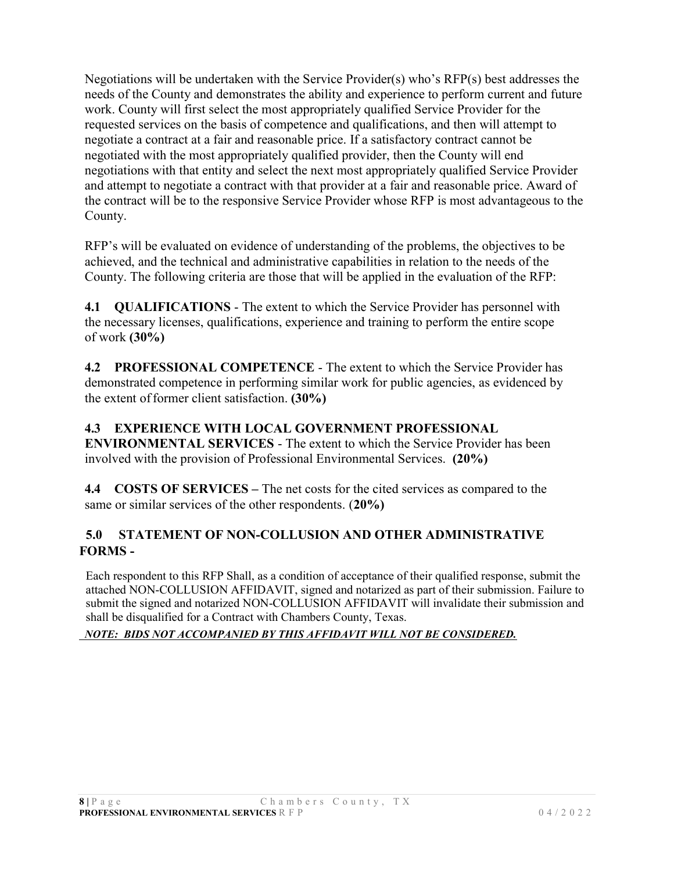Negotiations will be undertaken with the Service Provider(s) who's RFP(s) best addresses the needs of the County and demonstrates the ability and experience to perform current and future work. County will first select the most appropriately qualified Service Provider for the requested services on the basis of competence and qualifications, and then will attempt to negotiate a contract at a fair and reasonable price. If a satisfactory contract cannot be negotiated with the most appropriately qualified provider, then the County will end negotiations with that entity and select the next most appropriately qualified Service Provider and attempt to negotiate a contract with that provider at a fair and reasonable price. Award of the contract will be to the responsive Service Provider whose RFP is most advantageous to the County.

RFP's will be evaluated on evidence of understanding of the problems, the objectives to be achieved, and the technical and administrative capabilities in relation to the needs of the County. The following criteria are those that will be applied in the evaluation of the RFP:

4.1 QUALIFICATIONS - The extent to which the Service Provider has personnel with the necessary licenses, qualifications, experience and training to perform the entire scope of work (30%)

4.2 PROFESSIONAL COMPETENCE - The extent to which the Service Provider has demonstrated competence in performing similar work for public agencies, as evidenced by the extent of former client satisfaction. (30%)

### 4.3 EXPERIENCE WITH LOCAL GOVERNMENT PROFESSIONAL

ENVIRONMENTAL SERVICES - The extent to which the Service Provider has been involved with the provision of Professional Environmental Services. (20%)

4.4 COSTS OF SERVICES – The net costs for the cited services as compared to the same or similar services of the other respondents. (20%)

## 5.0 STATEMENT OF NON-COLLUSION AND OTHER ADMINISTRATIVE FORMS -

Each respondent to this RFP Shall, as a condition of acceptance of their qualified response, submit the attached NON-COLLUSION AFFIDAVIT, signed and notarized as part of their submission. Failure to submit the signed and notarized NON-COLLUSION AFFIDAVIT will invalidate their submission and shall be disqualified for a Contract with Chambers County, Texas.

#### NOTE: BIDS NOT ACCOMPANIED BY THIS AFFIDAVIT WILL NOT BE CONSIDERED.